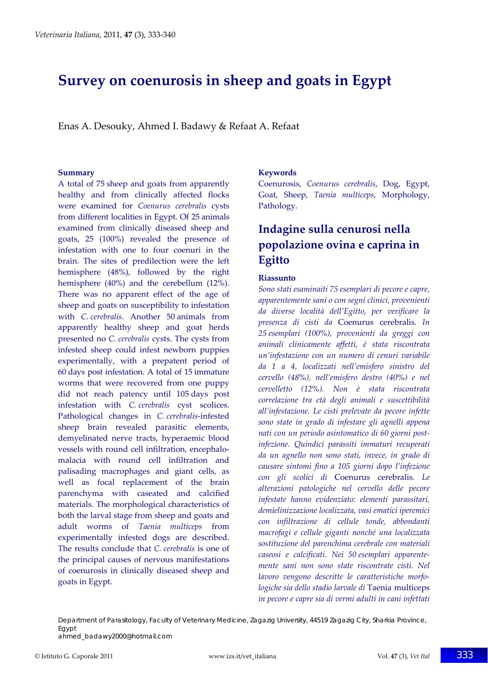# **Survey on coenurosis in sheep and goats in Egypt**

Enas A. Desouky, Ahmed I. Badawy & Refaat A. Refaat

#### **Summary**

A total of 75 sheep and goats from apparently healthy and from clinically affected flocks were examined for *Coenurus cerebralis* cysts from different localities in Egypt. Of 25 animals examined from clinically diseased sheep and goats, 25 (100%) revealed the presence of infestation with one to four coenuri in the brain. The sites of predilection were the left hemisphere (48%), followed by the right hemisphere (40%) and the cerebellum (12%). There was no apparent effect of the age of sheep and goats on susceptibility to infestation with *C. cerebralis*. Another 50 animals from apparently healthy sheep and goat herds presented no *C. cerebralis* cysts. The cysts from infested sheep could infest newborn puppies experimentally, with a prepatent period of 60 days post infestation. A total of 15 immature worms that were recovered from one puppy did not reach patency until 105 days post infestation with *C. cerebralis* cyst scolices. Pathological changes in *C. cerebralis*‐infested sheep brain revealed parasitic elements, demyelinated nerve tracts, hyperaemic blood vessels with round cell infiltration, encephalo‐ malacia with round cell infiltration and palisading macrophages and giant cells, as well as focal replacement of the brain parenchyma with caseated and calcified materials. The morphological characteristics of both the larval stage from sheep and goats and adult worms of *Taenia multiceps* from experimentally infested dogs are described. The results conclude that *C. cerebralis* is one of the principal causes of nervous manifestations of coenurosis in clinically diseased sheep and goats in Egypt.

#### **Keywords**

Coenurosis, *Coenurus cerebralis*, Dog, Egypt, Goat, Sheep, *Taenia multiceps*, Morphology, Pathology.

# **Indagine sulla cenurosi nella popolazione ovina e caprina in Egitto**

#### **Riassunto**

*Sono stati esaminaiti 75 esemplari di pecore e capre, apparentemente sani o con segni clinici, provenienti da diverse località dell'Egitto, per verificare la presenza di cisti da* Coenurus cerebralis*. In 25 esemplari (100%), provenienti da greggi con animali clinicamente affetti, è stata riscontrata un'infestazione con un numero di cenuri variabile da 1 a 4, localizzati nell'emisfero sinistro del cervello (48%), nell'emisfero destro (40%) e nel cervelletto (12%). Non è stata riscontrata correlazione tra età degli animali e suscettibilità all'infestazione. Le cisti prelevate da pecore infette sono state in grado di infestare gli agnelli appena nati con un periodo asintomatico di 60 giorni post‐ infezione. Quindici parassiti immaturi recuperati da un agnello non sono stati, invece, in grado di causare sintomi fino a 105 giorni dopo l'infezione con gli scolici di* Coenurus cerebralis*. Le alterazioni patologiche nel cervello delle pecore infestate hanno evidenziato: elementi parassitari, demielinizzazione localizzata, vasi ematici iperemici con infiltrazione di cellule tonde, abbondanti macrofagi e cellule giganti nonché una localizzata sostituzione del parenchima cerebrale con materiali caseosi e calcificati. Nei 50 esemplari apparente‐ mente sani non sono state riscontrate cisti. Nel lavoro vengono descritte le caratteristiche morfo‐ logiche sia dello stadio larvale di* Taenia multiceps *in pecore e capre sia di vermi adulti in cani infettati*

Department of Parasitology, Faculty of Veterinary Medicine, Zagazig University, 44519 Zagazig City, Sharkia Province, Egypt ahmed\_badawy2000@hotmail.com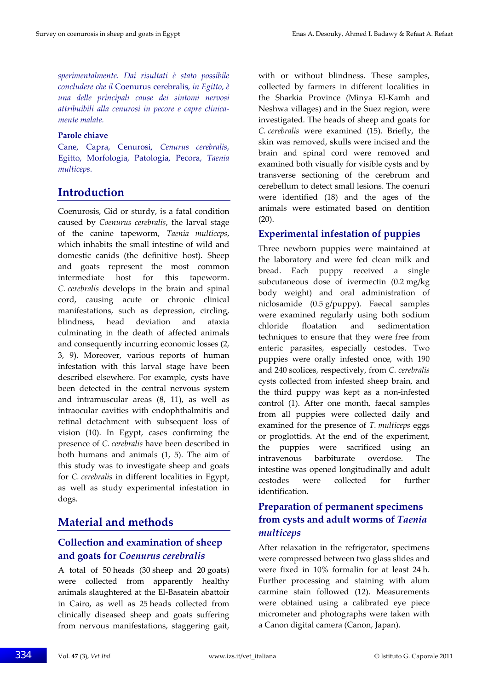*sperimentalmente. Dai risultati è stato possibile concludere che il* Coenurus cerebralis*, in Egitto, è una delle principali cause dei sintomi nervosi attribuibili alla cenurosi in pecore e capre clinica‐ mente malate.*

#### **Parole chiave**

Cane, Capra, Cenurosi, *Cenurus cerebralis*, Egitto, Morfologia, Patologia, Pecora, *Taenia multiceps*.

# **Introduction**

Coenurosis, Gid or sturdy, is a fatal condition caused by *Coenurus cerebralis*, the larval stage of the canine tapeworm, *Taenia multiceps*, which inhabits the small intestine of wild and domestic canids (the definitive host). Sheep and goats represent the most common intermediate host for this tapeworm. *C. cerebralis* develops in the brain and spinal cord, causing acute or chronic clinical manifestations, such as depression, circling, blindness, head deviation and ataxia culminating in the death of affected animals and consequently incurring economic losses (2, 3, 9). Moreover, various reports of human infestation with this larval stage have been described elsewhere. For example, cysts have been detected in the central nervous system and intramuscular areas (8, 11), as well as intraocular cavities with endophthalmitis and retinal detachment with subsequent loss of vision (10). In Egypt, cases confirming the presence of *C. cerebralis* have been described in both humans and animals (1, 5). The aim of this study was to investigate sheep and goats for *C. cerebralis* in different localities in Egypt, as well as study experimental infestation in dogs.

# **Material and methods**

### **Collection and examination of sheep and goats for** *Coenurus cerebralis*

A total of 50 heads (30 sheep and 20 goats) were collected from apparently healthy animals slaughtered at the El‐Basatein abattoir in Cairo, as well as 25 heads collected from clinically diseased sheep and goats suffering from nervous manifestations, staggering gait,

with or without blindness. These samples, collected by farmers in different localities in the Sharkia Province (Minya El‐Kamh and Neshwa villages) and in the Suez region, were investigated. The heads of sheep and goats for *C. cerebralis* were examined (15). Briefly, the skin was removed, skulls were incised and the brain and spinal cord were removed and examined both visually for visible cysts and by transverse sectioning of the cerebrum and cerebellum to detect small lesions. The coenuri were identified (18) and the ages of the animals were estimated based on dentition (20).

### **Experimental infestation of puppies**

Three newborn puppies were maintained at the laboratory and were fed clean milk and bread. Each puppy received a single subcutaneous dose of ivermectin (0.2 mg/kg body weight) and oral administration of niclosamide (0.5 g/puppy). Faecal samples were examined regularly using both sodium chloride floatation and sedimentation techniques to ensure that they were free from enteric parasites, especially cestodes. Two puppies were orally infested once, with 190 and 240 scolices, respectively, from *C. cerebralis* cysts collected from infested sheep brain, and the third puppy was kept as a non‐infested control (1). After one month, faecal samples from all puppies were collected daily and examined for the presence of *T. multiceps* eggs or proglottids. At the end of the experiment, the puppies were sacrificed using an intravenous barbiturate overdose. The intestine was opened longitudinally and adult cestodes were collected for further identification.

## **Preparation of permanent specimens from cysts and adult worms of** *Taenia multiceps*

After relaxation in the refrigerator, specimens were compressed between two glass slides and were fixed in 10% formalin for at least 24 h. Further processing and staining with alum carmine stain followed (12). Measurements were obtained using a calibrated eye piece micrometer and photographs were taken with a Canon digital camera (Canon, Japan).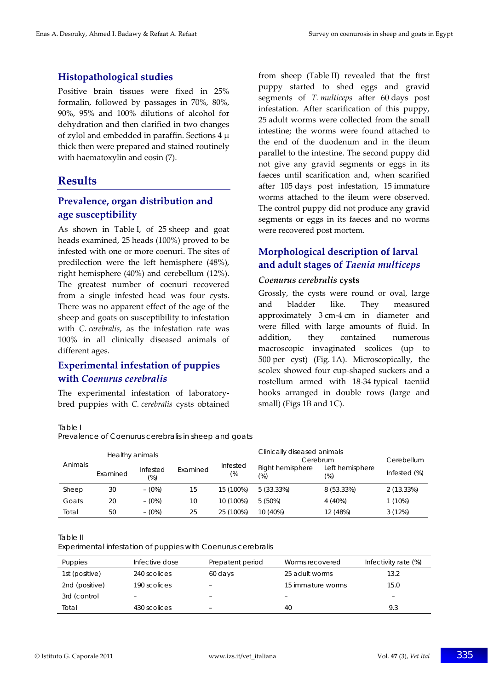#### **Histopathological studies**

Positive brain tissues were fixed in 25% formalin, followed by passages in 70%, 80%, 90%, 95% and 100% dilutions of alcohol for dehydration and then clarified in two changes of zylol and embedded in paraffin. Sections  $4 \mu$ thick then were prepared and stained routinely with haematoxylin and eosin (7).

### **Results**

#### **Prevalence, organ distribution and age susceptibility**

As shown in Table I, of 25 sheep and goat heads examined, 25 heads (100%) proved to be infested with one or more coenuri. The sites of predilection were the left hemisphere (48%), right hemisphere (40%) and cerebellum (12%). The greatest number of coenuri recovered from a single infested head was four cysts. There was no apparent effect of the age of the sheep and goats on susceptibility to infestation with *C. cerebralis*, as the infestation rate was 100% in all clinically diseased animals of different ages.

### **Experimental infestation of puppies with** *Coenurus cerebralis*

The experimental infestation of laboratory‐ bred puppies with *C. cerebralis* cysts obtained

from sheep (Table II) revealed that the first puppy started to shed eggs and gravid segments of *T. multiceps* after 60 days post infestation. After scarification of this puppy, 25 adult worms were collected from the small intestine; the worms were found attached to the end of the duodenum and in the ileum parallel to the intestine. The second puppy did not give any gravid segments or eggs in its faeces until scarification and, when scarified after 105 days post infestation, 15 immature worms attached to the ileum were observed. The control puppy did not produce any gravid segments or eggs in its faeces and no worms were recovered post mortem.

### **Morphological description of larval and adult stages of** *Taenia multiceps*

#### *Coenurus cerebralis* **cysts**

Grossly, the cysts were round or oval, large and bladder like. They measured approximately 3 cm‐4 cm in diameter and were filled with large amounts of fluid. In addition, they contained numerous macroscopic invaginated scolices (up to 500 per cyst) (Fig. 1A). Microscopically, the scolex showed four cup‐shaped suckers and a rostellum armed with 18‐34 typical taeniid hooks arranged in double rows (large and small) (Figs 1B and 1C).

Table I

Prevalence of *Coenurus cerebralis* in sheep and goats

| Animals | Healthy animals |                    |          |                | Clinically diseased animals<br>Cerebrum |                        | Cerebellum   |
|---------|-----------------|--------------------|----------|----------------|-----------------------------------------|------------------------|--------------|
|         | Examined        | Infested<br>$(\%)$ | Examined | Infested<br>(% | Right hemisphere<br>$(\%)$              | Left hemisphere<br>(%) | Infested (%) |
| Sheep   | 30              | $- (0\%)$          | 15       | 15 (100%)      | 5(33.33%)                               | 8 (53.33%)             | 2(13.33%)    |
| Goats   | 20              | $-$ (0%)           | 10       | 10 (100%)      | $5(50\%)$                               | 4 (40%)                | $1(10\%)$    |
| Total   | 50              | $-$ (0%)           | 25       | 25 (100%)      | 10 (40%)                                | 12 (48%)               | 3(12%)       |

Table II

Experimental infestation of puppies with *Coenurus cerebralis*

| Puppies        | Infective dose           | Prepatent period         | Worms recovered   | Infectivity rate (%) |
|----------------|--------------------------|--------------------------|-------------------|----------------------|
| 1st (positive) | 240 scolices             | 60 days                  | 25 adult worms    | 13.2                 |
| 2nd (positive) | 190 scolices             |                          | 15 immature worms | 15.0                 |
| 3rd (control   | $\overline{\phantom{0}}$ | $\overline{\phantom{0}}$ | -                 | -                    |
| Total          | 430 scolices             | $\qquad \qquad =$        | 40                | 9.3                  |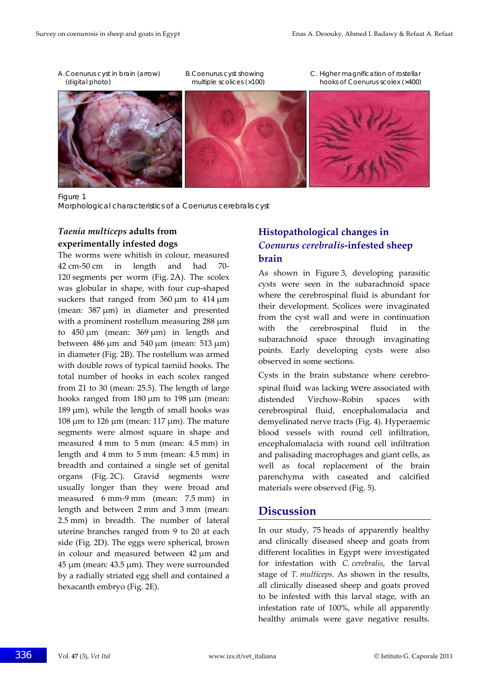- 
- 
- A. *Coenurus* cyst in brain (arrow) B. *Coenurus* cyst showing C. Higher magnification of rostellar (digital photo) multiple scolices (×100) hooks of *Coenurus* scolex (×400)



Figure 1

Morphological characteristics of a *Coenurus cerebralis* cyst

#### *Taenia multiceps* **adults from experimentally infested dogs**

The worms were whitish in colour, measured 42 cm‐50 cm in length and had 70‐ 120 segments per worm (Fig. 2A). The scolex was globular in shape, with four cup‐shaped suckers that ranged from 360 μm to 414 μm (mean: 387 μm) in diameter and presented with a prominent rostellum measuring 288 μm to  $450 \mu m$  (mean:  $369 \mu m$ ) in length and between 486  $\mu$ m and 540  $\mu$ m (mean: 513  $\mu$ m) in diameter (Fig. 2B). The rostellum was armed with double rows of typical taeniid hooks. The total number of hooks in each scolex ranged from 21 to 30 (mean: 25.5). The length of large hooks ranged from 180 μm to 198 μm (mean: 189 μm), while the length of small hooks was 108 μm to 126 μm (mean: 117 μm). The mature segments were almost square in shape and measured 4 mm to 5 mm (mean: 4.5 mm) in length and 4 mm to 5 mm (mean: 4.5 mm) in breadth and contained a single set of genital organs (Fig. 2C). Gravid segments were usually longer than they were broad and measured 6 mm‐9 mm (mean: 7.5 mm) in length and between 2 mm and 3 mm (mean: 2.5 mm) in breadth. The number of lateral uterine branches ranged from 9 to 20 at each side (Fig. 2D). The eggs were spherical, brown in colour and measured between 42 μm and 45 μm (mean: 43.5 μm). They were surrounded by a radially striated egg shell and contained a hexacanth embryo (Fig. 2E).

### **Histopathological changes in** *Coenurus cerebralis***‐infested sheep brain**

As shown in Figure 3, developing parasitic cysts were seen in the subarachnoid space where the cerebrospinal fluid is abundant for their development. Scolices were invaginated from the cyst wall and were in continuation with the cerebrospinal fluid in the subarachnoid space through invaginating points. Early developing cysts were also observed in some sections.

Cysts in the brain substance where cerebro‐ spinal fluid was lacking were associated with distended Virchow‐Robin spaces with cerebrospinal fluid, encephalomalacia and demyelinated nerve tracts (Fig. 4). Hyperaemic blood vessels with round cell infiltration, encephalomalacia with round cell infiltration and palisading macrophages and giant cells, as well as focal replacement of the brain parenchyma with caseated and calcified materials were observed (Fig. 5).

# **Discussion**

In our study, 75 heads of apparently healthy and clinically diseased sheep and goats from different localities in Egypt were investigated for infestation with *C. cerebralis*, the larval stage of *T. multiceps*. As shown in the results, all clinically diseased sheep and goats proved to be infested with this larval stage, with an infestation rate of 100%, while all apparently healthy animals were gave negative results.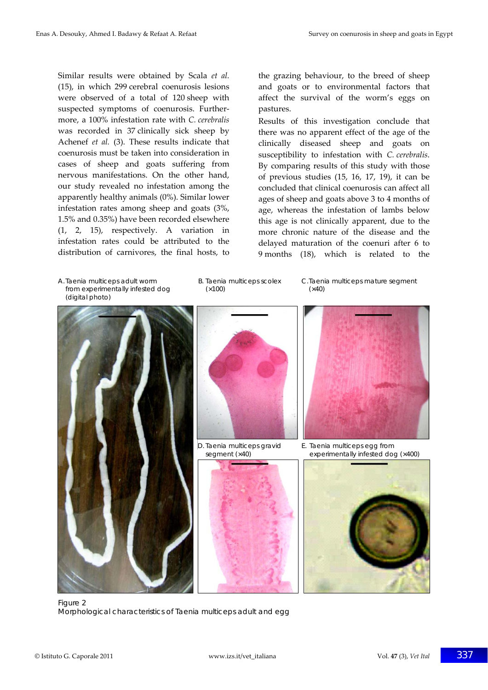Similar results were obtained by Scala *et al.* (15), in which 299 cerebral coenurosis lesions were observed of a total of 120 sheep with suspected symptoms of coenurosis. Further‐ more, a 100% infestation rate with *C. cerebralis* was recorded in 37 clinically sick sheep by Achenef *et al.* (3). These results indicate that coenurosis must be taken into consideration in cases of sheep and goats suffering from nervous manifestations. On the other hand, our study revealed no infestation among the apparently healthy animals (0%). Similar lower infestation rates among sheep and goats (3%, 1.5% and 0.35%) have been recorded elsewhere (1, 2, 15), respectively. A variation in infestation rates could be attributed to the distribution of carnivores, the final hosts, to the grazing behaviour, to the breed of sheep and goats or to environmental factors that affect the survival of the worm's eggs on pastures.

Results of this investigation conclude that there was no apparent effect of the age of the clinically diseased sheep and goats on susceptibility to infestation with *C. cerebralis*. By comparing results of this study with those of previous studies (15, 16, 17, 19), it can be concluded that clinical coenurosis can affect all ages of sheep and goats above 3 to 4 months of age, whereas the infestation of lambs below this age is not clinically apparent, due to the more chronic nature of the disease and the delayed maturation of the coenuri after 6 to 9 months (18), which is related to the

 from experimentally infested dog (×100) (×40) (digital photo)

A. *Taenia multicep*s adult worm B. *Taenia multiceps* scolex C. *Taenia multiceps* mature segment









D. *Taenia multiceps* gravid E. *Taenia multiceps* egg from segment (×40) experimentally infested dog (×400)



Figure 2 Morphological characteristics of *Taenia multiceps* adult and egg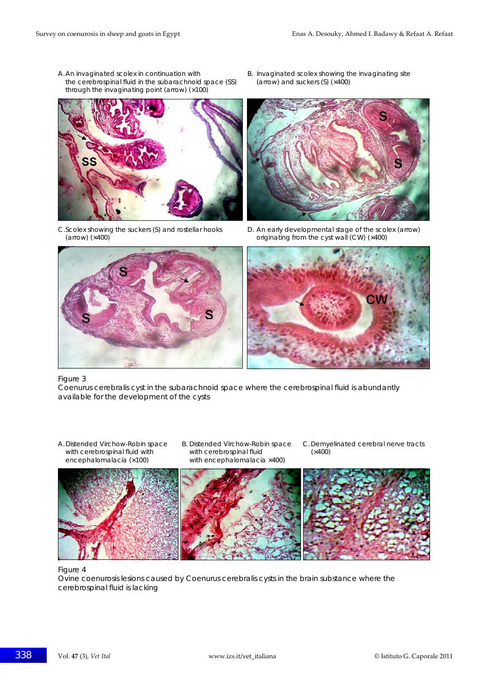- A. An invaginated scolex in continuation with B. Invaginated scolex showing the invaginating site the cerebrospinal fluid in the subarachnoid space (SS) (arrow) and suckers (S) (×400) through the invaginating point (arrow) (×100)
- 





C. Scolex showing the suckers (S) and rostellar hooks D. An early developmental stage of the scolex (arrow)<br>
criginating from the cyst wall (CW) (×400)<br>
originating from the cyst wall (CW) (×400) originating from the cyst wall (CW) (×400)





#### Figure 3

*Coenurus cerebralis* cyst in the subarachnoid space where the cerebrospinal fluid is abundantly available for the development of the cysts

- with cerebrospinal fluid with encephalomalacia (×100) with encephalomalacia ×400)
- 
- A. Distended Virchow-Robin space B. Distended Virchow-Robin space C. Demyelinated cerebral nerve tracts



#### Figure 4

Ovine coenurosis lesions caused by *Coenurus cerebralis* cysts in the brain substance where the cerebrospinal fluid is lacking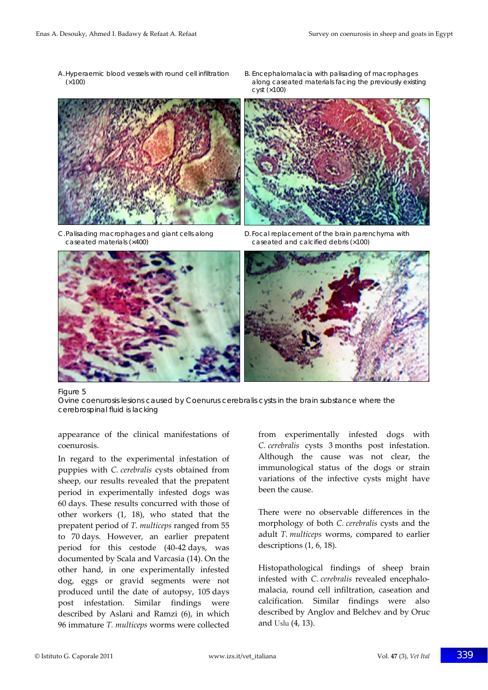- 
- A. Hyperaemic blood vessels with round cell infiltration B. Encephalomalacia with palisading of macrophages (×100) along caseated materials facing the previously existing  $cyst$  ( $\times$ 100)



caseated materials (×400) caseated and calcified debris (×100)



C. Palisading macrophages and giant cells along D. Focal replacement of the brain parenchyma with



#### Figure 5

Ovine coenurosis lesions caused by *Coenurus cerebralis* cysts in the brain substance where the cerebrospinal fluid is lacking

appearance of the clinical manifestations of coenurosis.

In regard to the experimental infestation of puppies with *C. cerebralis* cysts obtained from sheep, our results revealed that the prepatent period in experimentally infested dogs was 60 days. These results concurred with those of other workers (1, 18), who stated that the prepatent period of *T. multiceps* ranged from 55 to 70 days. However, an earlier prepatent period for this cestode (40‐42 days, was documented by Scala and Varcasia (14). On the other hand, in one experimentally infested dog, eggs or gravid segments were not produced until the date of autopsy, 105 days post infestation. Similar findings were described by Aslani and Ramzi (6), in which 96 immature *T. multiceps* worms were collected

from experimentally infested dogs with *C. cerebralis* cysts 3 months post infestation. Although the cause was not clear, the immunological status of the dogs or strain variations of the infective cysts might have been the cause.

There were no observable differences in the morphology of both *C. cerebralis* cysts and the adult *T. multiceps* worms, compared to earlier descriptions (1, 6, 18).

Histopathological findings of sheep brain infested with *C. cerebralis* revealed encephalo‐ malacia, round cell infiltration, caseation and calcification. Similar findings were also described by Anglov and Belchev and by Oruc and Uslu (4, 13).